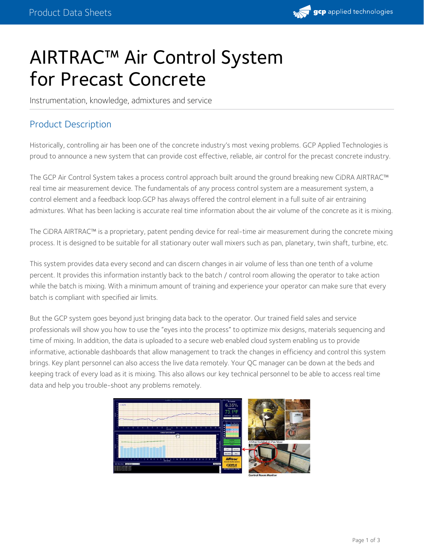

# AIRTRAC™ Air Control System for Precast Concrete

Instrumentation, knowledge, admixtures and service

## Product Description

Historically, controlling air has been one of the concrete industry's most vexing problems. GCP Applied Technologies is proud to announce a new system that can provide cost effective, reliable, air control for the precast concrete industry.

The GCP Air Control System takes a process control approach built around the ground breaking new CiDRA AIRTRAC™ real time air measurement device. The fundamentals of any process control system are a measurement system, a control element and a feedback loop.GCP has always offered the control element in a full suite of air entraining admixtures. What has been lacking is accurate real time information about the air volume of the concrete as it is mixing.

The CiDRA AIRTRAC™ is a proprietary, patent pending device for real-time air measurement during the concrete mixing process. It is designed to be suitable for all stationary outer wall mixers such as pan, planetary, twin shaft, turbine, etc.

This system provides data every second and can discern changes in air volume of less than one tenth of a volume percent. It provides this information instantly back to the batch / control room allowing the operator to take action while the batch is mixing. With a minimum amount of training and experience your operator can make sure that every batch is compliant with specified air limits.

But the GCP system goes beyond just bringing data back to the operator. Our trained field sales and service professionals will show you how to use the "eyes into the process" to optimize mix designs, materials sequencing and time of mixing. In addition, the data is uploaded to a secure web enabled cloud system enabling us to provide informative, actionable dashboards that allow management to track the changes in efficiency and control this system brings. Key plant personnel can also access the live data remotely. Your QC manager can be down at the beds and keeping track of every load as it is mixing. This also allows our key technical personnel to be able to access real time data and help you trouble-shoot any problems remotely.

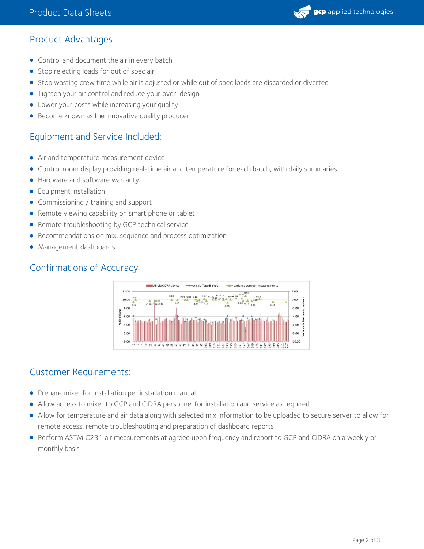

## Product Advantages

- Control and document the air in every batch
- Stop rejecting loads for out of spec air
- Stop wasting crew time while air is adjusted or while out of spec loads are discarded or diverted
- Tighten your air control and reduce your over-design
- Lower your costs while increasing your quality
- **•** Become known as the innovative quality producer

## Equipment and Service Included:

- Air and temperature measurement device
- Control room display providing real-time air and temperature for each batch, with daily summaries  $\bullet$
- Hardware and software warranty
- **•** Equipment installation
- Commissioning / training and support
- Remote viewing capability on smart phone or tablet  $\bullet$
- Remote troubleshooting by GCP technical service
- Recommendations on mix, sequence and process optimization  $\bullet$
- Management dashboards

#### Confirmations of Accuracy



#### Customer Requirements:

- **•** Prepare mixer for installation per installation manual
- Allow access to mixer to GCP and CiDRA personnel for installation and service as required
- Allow for temperature and air data along with selected mix information to be uploaded to secure server to allow for remote access, remote troubleshooting and preparation of dashboard reports
- Perform ASTM C231 air measurements at agreed upon frequency and report to GCP and CiDRA on a weekly or monthly basis